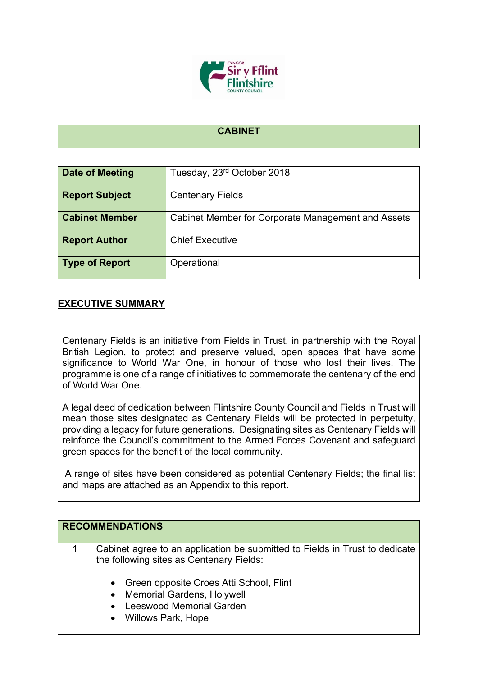

## **CABINET**

| Date of Meeting       | Tuesday, 23rd October 2018                         |
|-----------------------|----------------------------------------------------|
| <b>Report Subject</b> | <b>Centenary Fields</b>                            |
| <b>Cabinet Member</b> | Cabinet Member for Corporate Management and Assets |
| <b>Report Author</b>  | <b>Chief Executive</b>                             |
| <b>Type of Report</b> | Operational                                        |

## **EXECUTIVE SUMMARY**

Centenary Fields is an initiative from Fields in Trust, in partnership with the Royal British Legion, to protect and preserve valued, open spaces that have some significance to World War One, in honour of those who lost their lives. The programme is one of a range of initiatives to commemorate the centenary of the end of World War One.

A legal deed of dedication between Flintshire County Council and Fields in Trust will mean those sites designated as Centenary Fields will be protected in perpetuity, providing a legacy for future generations. Designating sites as Centenary Fields will reinforce the Council's commitment to the Armed Forces Covenant and safeguard green spaces for the benefit of the local community.

A range of sites have been considered as potential Centenary Fields; the final list and maps are attached as an Appendix to this report.

| <b>RECOMMENDATIONS</b>                                                                                                                                                                                                                  |
|-----------------------------------------------------------------------------------------------------------------------------------------------------------------------------------------------------------------------------------------|
| Cabinet agree to an application be submitted to Fields in Trust to dedicate<br>the following sites as Centenary Fields:<br>• Green opposite Croes Atti School, Flint<br>• Memorial Gardens, Holywell<br><b>Leeswood Memorial Garden</b> |
| • Willows Park, Hope                                                                                                                                                                                                                    |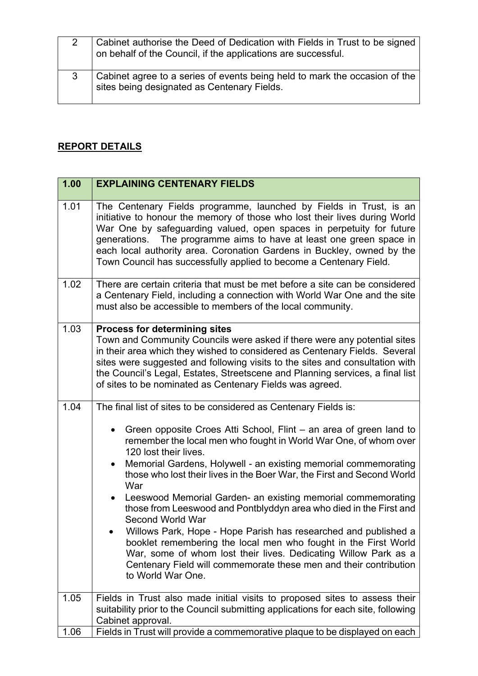| Cabinet authorise the Deed of Dedication with Fields in Trust to be signed<br>on behalf of the Council, if the applications are successful. |
|---------------------------------------------------------------------------------------------------------------------------------------------|
| Cabinet agree to a series of events being held to mark the occasion of the<br>sites being designated as Centenary Fields.                   |

## **REPORT DETAILS**

| 1.00 | <b>EXPLAINING CENTENARY FIELDS</b>                                                                                                                                                                                                                                                                                                                                                                                                              |
|------|-------------------------------------------------------------------------------------------------------------------------------------------------------------------------------------------------------------------------------------------------------------------------------------------------------------------------------------------------------------------------------------------------------------------------------------------------|
| 1.01 | The Centenary Fields programme, launched by Fields in Trust, is an<br>initiative to honour the memory of those who lost their lives during World<br>War One by safeguarding valued, open spaces in perpetuity for future<br>generations. The programme aims to have at least one green space in<br>each local authority area. Coronation Gardens in Buckley, owned by the<br>Town Council has successfully applied to become a Centenary Field. |
| 1.02 | There are certain criteria that must be met before a site can be considered<br>a Centenary Field, including a connection with World War One and the site<br>must also be accessible to members of the local community.                                                                                                                                                                                                                          |
| 1.03 | <b>Process for determining sites</b><br>Town and Community Councils were asked if there were any potential sites<br>in their area which they wished to considered as Centenary Fields. Several<br>sites were suggested and following visits to the sites and consultation with<br>the Council's Legal, Estates, Streetscene and Planning services, a final list<br>of sites to be nominated as Centenary Fields was agreed.                     |
| 1.04 | The final list of sites to be considered as Centenary Fields is:                                                                                                                                                                                                                                                                                                                                                                                |
|      | Green opposite Croes Atti School, Flint – an area of green land to<br>$\bullet$<br>remember the local men who fought in World War One, of whom over<br>120 lost their lives.<br>Memorial Gardens, Holywell - an existing memorial commemorating<br>$\bullet$<br>those who lost their lives in the Boer War, the First and Second World<br>War                                                                                                   |
|      | Leeswood Memorial Garden- an existing memorial commemorating<br>$\bullet$<br>those from Leeswood and Pontblyddyn area who died in the First and<br>Second World War                                                                                                                                                                                                                                                                             |
|      | Willows Park, Hope - Hope Parish has researched and published a<br>booklet remembering the local men who fought in the First World<br>War, some of whom lost their lives. Dedicating Willow Park as a<br>Centenary Field will commemorate these men and their contribution<br>to World War One.                                                                                                                                                 |
| 1.05 | Fields in Trust also made initial visits to proposed sites to assess their<br>suitability prior to the Council submitting applications for each site, following                                                                                                                                                                                                                                                                                 |
|      | Cabinet approval.                                                                                                                                                                                                                                                                                                                                                                                                                               |
| 1.06 | Fields in Trust will provide a commemorative plaque to be displayed on each                                                                                                                                                                                                                                                                                                                                                                     |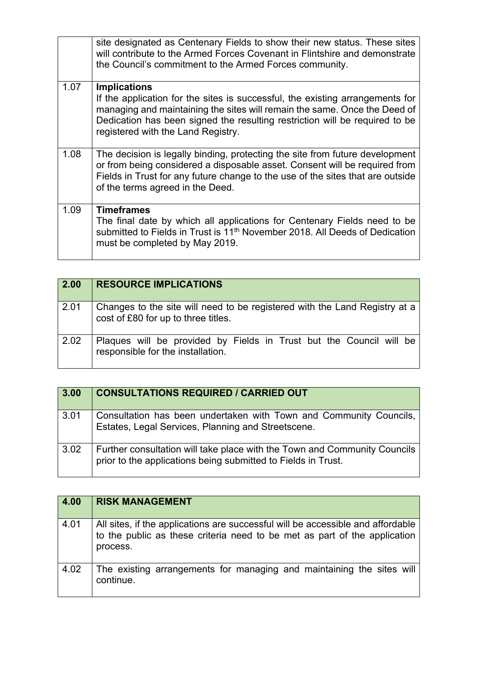|      | site designated as Centenary Fields to show their new status. These sites<br>will contribute to the Armed Forces Covenant in Flintshire and demonstrate<br>the Council's commitment to the Armed Forces community.                                                                                     |
|------|--------------------------------------------------------------------------------------------------------------------------------------------------------------------------------------------------------------------------------------------------------------------------------------------------------|
| 1.07 | <b>Implications</b><br>If the application for the sites is successful, the existing arrangements for<br>managing and maintaining the sites will remain the same. Once the Deed of<br>Dedication has been signed the resulting restriction will be required to be<br>registered with the Land Registry. |
| 1.08 | The decision is legally binding, protecting the site from future development<br>or from being considered a disposable asset. Consent will be required from<br>Fields in Trust for any future change to the use of the sites that are outside<br>of the terms agreed in the Deed.                       |
| 1.09 | <b>Timeframes</b><br>The final date by which all applications for Centenary Fields need to be<br>submitted to Fields in Trust is 11 <sup>th</sup> November 2018. All Deeds of Dedication<br>must be completed by May 2019.                                                                             |

| 2.00 | <b>RESOURCE IMPLICATIONS</b>                                                                                      |
|------|-------------------------------------------------------------------------------------------------------------------|
| 2.01 | Changes to the site will need to be registered with the Land Registry at a<br>cost of £80 for up to three titles. |
| 2.02 | Plaques will be provided by Fields in Trust but the Council will be<br>responsible for the installation.          |

| 3.00 | <b>CONSULTATIONS REQUIRED / CARRIED OUT</b>                                                                                                |
|------|--------------------------------------------------------------------------------------------------------------------------------------------|
| 3.01 | Consultation has been undertaken with Town and Community Councils,<br>Estates, Legal Services, Planning and Streetscene.                   |
| 3.02 | Further consultation will take place with the Town and Community Councils<br>prior to the applications being submitted to Fields in Trust. |

| 4.00 | <b>RISK MANAGEMENT</b>                                                                                                                                                   |
|------|--------------------------------------------------------------------------------------------------------------------------------------------------------------------------|
| 4.01 | All sites, if the applications are successful will be accessible and affordable<br>to the public as these criteria need to be met as part of the application<br>process. |
| 4.02 | The existing arrangements for managing and maintaining the sites will<br>continue.                                                                                       |